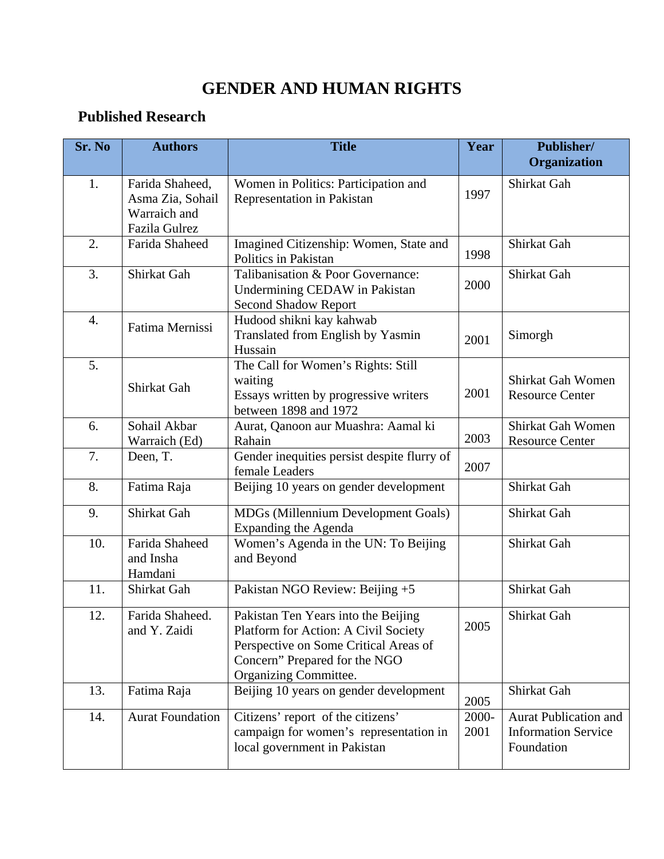## **GENDER AND HUMAN RIGHTS**

## **Published Research**

| Sr. No | <b>Authors</b>                                                       | <b>Title</b>                                                                                                                                                                   | Year          | <b>Publisher/</b><br>Organization                                        |
|--------|----------------------------------------------------------------------|--------------------------------------------------------------------------------------------------------------------------------------------------------------------------------|---------------|--------------------------------------------------------------------------|
| 1.     | Farida Shaheed,<br>Asma Zia, Sohail<br>Warraich and<br>Fazila Gulrez | Women in Politics: Participation and<br>Representation in Pakistan                                                                                                             | 1997          | Shirkat Gah                                                              |
| 2.     | Farida Shaheed                                                       | Imagined Citizenship: Women, State and<br>Politics in Pakistan                                                                                                                 | 1998          | Shirkat Gah                                                              |
| 3.     | Shirkat Gah                                                          | Talibanisation & Poor Governance:<br>Undermining CEDAW in Pakistan<br><b>Second Shadow Report</b>                                                                              | 2000          | Shirkat Gah                                                              |
| 4.     | Fatima Mernissi                                                      | Hudood shikni kay kahwab<br>Translated from English by Yasmin<br>Hussain                                                                                                       | 2001          | Simorgh                                                                  |
| 5.     | Shirkat Gah                                                          | The Call for Women's Rights: Still<br>waiting<br>Essays written by progressive writers<br>between 1898 and 1972                                                                | 2001          | Shirkat Gah Women<br><b>Resource Center</b>                              |
| 6.     | Sohail Akbar<br>Warraich (Ed)                                        | Aurat, Qanoon aur Muashra: Aamal ki<br>Rahain                                                                                                                                  | 2003          | Shirkat Gah Women<br><b>Resource Center</b>                              |
| 7.     | Deen, T.                                                             | Gender inequities persist despite flurry of<br>female Leaders                                                                                                                  | 2007          |                                                                          |
| 8.     | Fatima Raja                                                          | Beijing 10 years on gender development                                                                                                                                         |               | Shirkat Gah                                                              |
| 9.     | Shirkat Gah                                                          | MDGs (Millennium Development Goals)<br><b>Expanding the Agenda</b>                                                                                                             |               | Shirkat Gah                                                              |
| 10.    | Farida Shaheed<br>and Insha<br>Hamdani                               | Women's Agenda in the UN: To Beijing<br>and Beyond                                                                                                                             |               | Shirkat Gah                                                              |
| 11.    | Shirkat Gah                                                          | Pakistan NGO Review: Beijing +5                                                                                                                                                |               | Shirkat Gah                                                              |
| 12.    | Farida Shaheed.<br>and Y. Zaidi                                      | Pakistan Ten Years into the Beijing<br>Platform for Action: A Civil Society<br>Perspective on Some Critical Areas of<br>Concern" Prepared for the NGO<br>Organizing Committee. | 2005          | Shirkat Gah                                                              |
| 13.    | Fatima Raja                                                          | Beijing 10 years on gender development                                                                                                                                         | 2005          | Shirkat Gah                                                              |
| 14.    | <b>Aurat Foundation</b>                                              | Citizens' report of the citizens'<br>campaign for women's representation in<br>local government in Pakistan                                                                    | 2000-<br>2001 | <b>Aurat Publication and</b><br><b>Information Service</b><br>Foundation |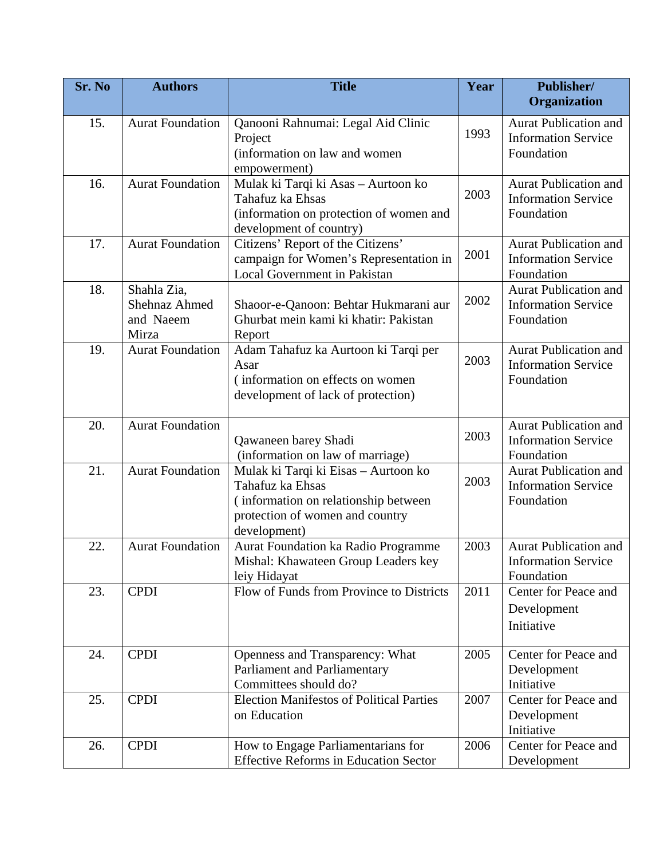| Sr. No | <b>Authors</b>                                     | <b>Title</b>                                                                                                                                        | Year | Publisher/<br>Organization                                               |
|--------|----------------------------------------------------|-----------------------------------------------------------------------------------------------------------------------------------------------------|------|--------------------------------------------------------------------------|
| 15.    | <b>Aurat Foundation</b>                            | Qanooni Rahnumai: Legal Aid Clinic                                                                                                                  | 1993 | <b>Aurat Publication and</b>                                             |
|        |                                                    | Project<br>(information on law and women<br>empowerment)                                                                                            |      | <b>Information Service</b><br>Foundation                                 |
| 16.    | <b>Aurat Foundation</b>                            | Mulak ki Tarqi ki Asas - Aurtoon ko<br>Tahafuz ka Ehsas<br>(information on protection of women and<br>development of country)                       | 2003 | <b>Aurat Publication and</b><br><b>Information Service</b><br>Foundation |
| 17.    | <b>Aurat Foundation</b>                            | Citizens' Report of the Citizens'<br>campaign for Women's Representation in<br>Local Government in Pakistan                                         | 2001 | <b>Aurat Publication and</b><br><b>Information Service</b><br>Foundation |
| 18.    | Shahla Zia,<br>Shehnaz Ahmed<br>and Naeem<br>Mirza | Shaoor-e-Qanoon: Behtar Hukmarani aur<br>Ghurbat mein kami ki khatir: Pakistan<br>Report                                                            | 2002 | <b>Aurat Publication and</b><br><b>Information Service</b><br>Foundation |
| 19.    | <b>Aurat Foundation</b>                            | Adam Tahafuz ka Aurtoon ki Tarqi per<br>Asar<br>(information on effects on women)<br>development of lack of protection)                             | 2003 | <b>Aurat Publication and</b><br><b>Information Service</b><br>Foundation |
| 20.    | <b>Aurat Foundation</b>                            | Qawaneen barey Shadi<br>(information on law of marriage)                                                                                            | 2003 | <b>Aurat Publication and</b><br><b>Information Service</b><br>Foundation |
| 21.    | <b>Aurat Foundation</b>                            | Mulak ki Tarqi ki Eisas - Aurtoon ko<br>Tahafuz ka Ehsas<br>(information on relationship between<br>protection of women and country<br>development) | 2003 | <b>Aurat Publication and</b><br><b>Information Service</b><br>Foundation |
| 22.    | <b>Aurat Foundation</b>                            | Aurat Foundation ka Radio Programme<br>Mishal: Khawateen Group Leaders key<br>leiy Hidayat                                                          | 2003 | <b>Aurat Publication and</b><br><b>Information Service</b><br>Foundation |
| 23.    | <b>CPDI</b>                                        | Flow of Funds from Province to Districts                                                                                                            | 2011 | Center for Peace and<br>Development<br>Initiative                        |
| 24.    | <b>CPDI</b>                                        | Openness and Transparency: What<br>Parliament and Parliamentary<br>Committees should do?                                                            | 2005 | Center for Peace and<br>Development<br>Initiative                        |
| 25.    | <b>CPDI</b>                                        | <b>Election Manifestos of Political Parties</b><br>on Education                                                                                     | 2007 | Center for Peace and<br>Development<br>Initiative                        |
| 26.    | <b>CPDI</b>                                        | How to Engage Parliamentarians for<br><b>Effective Reforms in Education Sector</b>                                                                  | 2006 | Center for Peace and<br>Development                                      |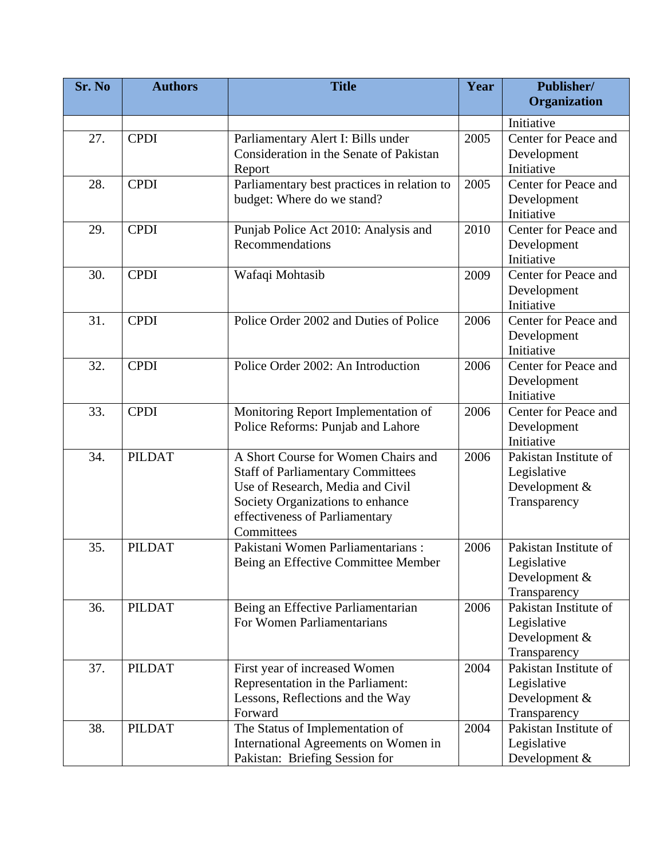| Sr. No | <b>Authors</b> | <b>Title</b>                                | Year | Publisher/<br>Organization |
|--------|----------------|---------------------------------------------|------|----------------------------|
|        |                |                                             |      |                            |
|        |                |                                             |      | Initiative                 |
| 27.    | <b>CPDI</b>    | Parliamentary Alert I: Bills under          | 2005 | Center for Peace and       |
|        |                | Consideration in the Senate of Pakistan     |      | Development                |
|        |                | Report                                      |      | Initiative                 |
| 28.    | <b>CPDI</b>    | Parliamentary best practices in relation to | 2005 | Center for Peace and       |
|        |                | budget: Where do we stand?                  |      | Development                |
|        |                |                                             |      | Initiative                 |
| 29.    | <b>CPDI</b>    | Punjab Police Act 2010: Analysis and        | 2010 | Center for Peace and       |
|        |                | Recommendations                             |      | Development                |
|        |                |                                             |      | Initiative                 |
| 30.    | <b>CPDI</b>    | Wafaqi Mohtasib                             | 2009 | Center for Peace and       |
|        |                |                                             |      | Development                |
|        |                |                                             |      | Initiative                 |
| 31.    | <b>CPDI</b>    | Police Order 2002 and Duties of Police      | 2006 | Center for Peace and       |
|        |                |                                             |      | Development                |
|        |                |                                             |      | Initiative                 |
| 32.    | <b>CPDI</b>    | Police Order 2002: An Introduction          | 2006 | Center for Peace and       |
|        |                |                                             |      | Development                |
|        |                |                                             |      | Initiative                 |
| 33.    | <b>CPDI</b>    | Monitoring Report Implementation of         | 2006 | Center for Peace and       |
|        |                | Police Reforms: Punjab and Lahore           |      | Development                |
|        |                |                                             |      | Initiative                 |
| 34.    | <b>PILDAT</b>  | A Short Course for Women Chairs and         | 2006 | Pakistan Institute of      |
|        |                | <b>Staff of Parliamentary Committees</b>    |      | Legislative                |
|        |                | Use of Research, Media and Civil            |      | Development &              |
|        |                | Society Organizations to enhance            |      | Transparency               |
|        |                | effectiveness of Parliamentary              |      |                            |
|        |                | Committees                                  |      |                            |
| 35.    | <b>PILDAT</b>  | Pakistani Women Parliamentarians:           | 2006 | Pakistan Institute of      |
|        |                | Being an Effective Committee Member         |      | Legislative                |
|        |                |                                             |      | Development $&$            |
|        |                |                                             |      | Transparency               |
| 36.    | <b>PILDAT</b>  | Being an Effective Parliamentarian          | 2006 | Pakistan Institute of      |
|        |                | For Women Parliamentarians                  |      | Legislative                |
|        |                |                                             |      | Development &              |
|        |                |                                             |      | Transparency               |
| 37.    | <b>PILDAT</b>  | First year of increased Women               | 2004 | Pakistan Institute of      |
|        |                | Representation in the Parliament:           |      | Legislative                |
|        |                | Lessons, Reflections and the Way            |      | Development &              |
|        |                | Forward                                     |      | Transparency               |
| 38.    | <b>PILDAT</b>  | The Status of Implementation of             | 2004 | Pakistan Institute of      |
|        |                | International Agreements on Women in        |      | Legislative                |
|        |                | Pakistan: Briefing Session for              |      | Development &              |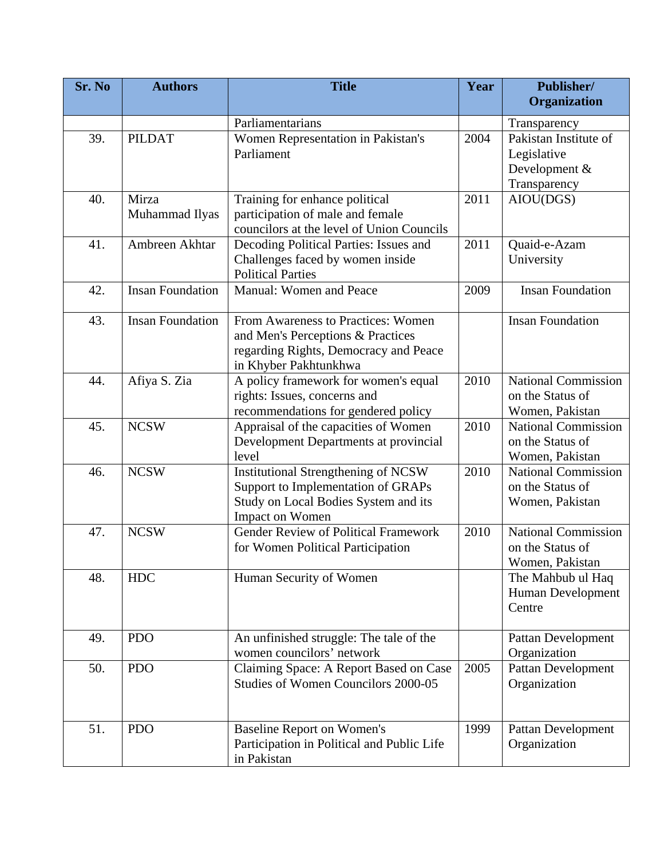| Sr. No | <b>Authors</b>          | <b>Title</b>                                                                                                                                | Year | Publisher/<br>Organization                                            |
|--------|-------------------------|---------------------------------------------------------------------------------------------------------------------------------------------|------|-----------------------------------------------------------------------|
|        |                         | Parliamentarians                                                                                                                            |      | Transparency                                                          |
| 39.    | <b>PILDAT</b>           | Women Representation in Pakistan's<br>Parliament                                                                                            | 2004 | Pakistan Institute of<br>Legislative<br>Development &<br>Transparency |
| 40.    | Mirza<br>Muhammad Ilyas | Training for enhance political<br>participation of male and female<br>councilors at the level of Union Councils                             | 2011 | AIOU(DGS)                                                             |
| 41.    | Ambreen Akhtar          | Decoding Political Parties: Issues and<br>Challenges faced by women inside<br><b>Political Parties</b>                                      | 2011 | Quaid-e-Azam<br>University                                            |
| 42.    | <b>Insan Foundation</b> | Manual: Women and Peace                                                                                                                     | 2009 | <b>Insan Foundation</b>                                               |
| 43.    | <b>Insan Foundation</b> | From Awareness to Practices: Women<br>and Men's Perceptions & Practices<br>regarding Rights, Democracy and Peace<br>in Khyber Pakhtunkhwa   |      | <b>Insan Foundation</b>                                               |
| 44.    | Afiya S. Zia            | A policy framework for women's equal<br>rights: Issues, concerns and<br>recommendations for gendered policy                                 | 2010 | <b>National Commission</b><br>on the Status of<br>Women, Pakistan     |
| 45.    | <b>NCSW</b>             | Appraisal of the capacities of Women<br>Development Departments at provincial<br>level                                                      | 2010 | National Commission<br>on the Status of<br>Women, Pakistan            |
| 46.    | <b>NCSW</b>             | <b>Institutional Strengthening of NCSW</b><br>Support to Implementation of GRAPs<br>Study on Local Bodies System and its<br>Impact on Women | 2010 | <b>National Commission</b><br>on the Status of<br>Women, Pakistan     |
| 47.    | <b>NCSW</b>             | <b>Gender Review of Political Framework</b><br>for Women Political Participation                                                            | 2010 | <b>National Commission</b><br>on the Status of<br>Women, Pakistan     |
| 48.    | <b>HDC</b>              | Human Security of Women                                                                                                                     |      | The Mahbub ul Haq<br>Human Development<br>Centre                      |
| 49.    | <b>PDO</b>              | An unfinished struggle: The tale of the<br>women councilors' network                                                                        |      | Pattan Development<br>Organization                                    |
| 50.    | <b>PDO</b>              | Claiming Space: A Report Based on Case<br>Studies of Women Councilors 2000-05                                                               | 2005 | <b>Pattan Development</b><br>Organization                             |
| 51.    | <b>PDO</b>              | <b>Baseline Report on Women's</b><br>Participation in Political and Public Life<br>in Pakistan                                              | 1999 | Pattan Development<br>Organization                                    |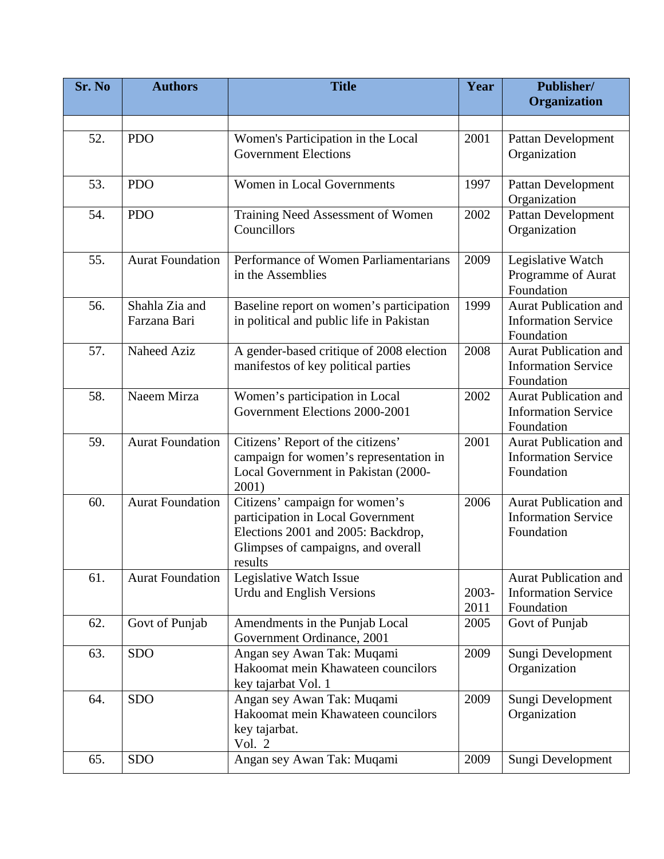| Sr. No | <b>Authors</b>                 | <b>Title</b>                                                                                                                                               | Year          | Publisher/<br>Organization                                               |
|--------|--------------------------------|------------------------------------------------------------------------------------------------------------------------------------------------------------|---------------|--------------------------------------------------------------------------|
|        |                                |                                                                                                                                                            |               |                                                                          |
| 52.    | <b>PDO</b>                     | Women's Participation in the Local<br><b>Government Elections</b>                                                                                          | 2001          | Pattan Development<br>Organization                                       |
| 53.    | <b>PDO</b>                     | Women in Local Governments                                                                                                                                 | 1997          | Pattan Development<br>Organization                                       |
| 54.    | <b>PDO</b>                     | Training Need Assessment of Women<br>Councillors                                                                                                           | 2002          | Pattan Development<br>Organization                                       |
| 55.    | <b>Aurat Foundation</b>        | Performance of Women Parliamentarians<br>in the Assemblies                                                                                                 | 2009          | Legislative Watch<br>Programme of Aurat<br>Foundation                    |
| 56.    | Shahla Zia and<br>Farzana Bari | Baseline report on women's participation<br>in political and public life in Pakistan                                                                       | 1999          | <b>Aurat Publication and</b><br><b>Information Service</b><br>Foundation |
| 57.    | Naheed Aziz                    | A gender-based critique of 2008 election<br>manifestos of key political parties                                                                            | 2008          | <b>Aurat Publication and</b><br><b>Information Service</b><br>Foundation |
| 58.    | Naeem Mirza                    | Women's participation in Local<br>Government Elections 2000-2001                                                                                           | 2002          | <b>Aurat Publication and</b><br><b>Information Service</b><br>Foundation |
| 59.    | <b>Aurat Foundation</b>        | Citizens' Report of the citizens'<br>campaign for women's representation in<br>Local Government in Pakistan (2000-<br>2001)                                | 2001          | <b>Aurat Publication and</b><br><b>Information Service</b><br>Foundation |
| 60.    | <b>Aurat Foundation</b>        | Citizens' campaign for women's<br>participation in Local Government<br>Elections 2001 and 2005: Backdrop,<br>Glimpses of campaigns, and overall<br>results | 2006          | <b>Aurat Publication and</b><br><b>Information Service</b><br>Foundation |
| 61.    | <b>Aurat Foundation</b>        | Legislative Watch Issue<br>Urdu and English Versions                                                                                                       | 2003-<br>2011 | <b>Aurat Publication and</b><br><b>Information Service</b><br>Foundation |
| 62.    | Govt of Punjab                 | Amendments in the Punjab Local<br>Government Ordinance, 2001                                                                                               | 2005          | Govt of Punjab                                                           |
| 63.    | <b>SDO</b>                     | Angan sey Awan Tak: Muqami<br>Hakoomat mein Khawateen councilors<br>key tajarbat Vol. 1                                                                    | 2009          | Sungi Development<br>Organization                                        |
| 64.    | <b>SDO</b>                     | Angan sey Awan Tak: Muqami<br>Hakoomat mein Khawateen councilors<br>key tajarbat.<br>Vol. 2                                                                | 2009          | Sungi Development<br>Organization                                        |
| 65.    | <b>SDO</b>                     | Angan sey Awan Tak: Muqami                                                                                                                                 | 2009          | Sungi Development                                                        |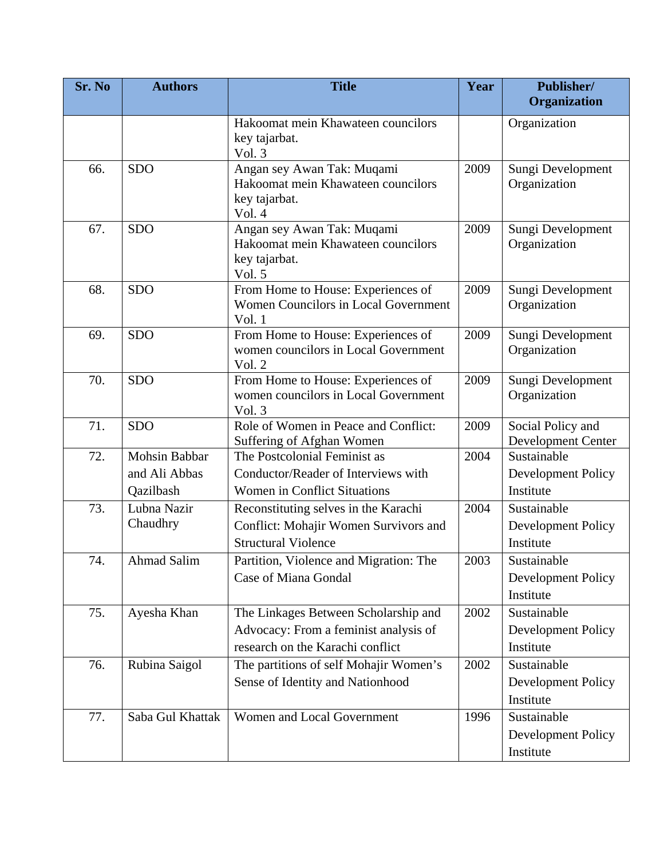| Sr. No | <b>Authors</b>     | <b>Title</b>                                                                                | Year | <b>Publisher/</b><br>Organization       |
|--------|--------------------|---------------------------------------------------------------------------------------------|------|-----------------------------------------|
|        |                    | Hakoomat mein Khawateen councilors<br>key tajarbat.<br>Vol. 3                               |      | Organization                            |
| 66.    | <b>SDO</b>         | Angan sey Awan Tak: Muqami<br>Hakoomat mein Khawateen councilors<br>key tajarbat.<br>Vol. 4 | 2009 | Sungi Development<br>Organization       |
| 67.    | <b>SDO</b>         | Angan sey Awan Tak: Muqami<br>Hakoomat mein Khawateen councilors<br>key tajarbat.<br>Vol. 5 | 2009 | Sungi Development<br>Organization       |
| 68.    | <b>SDO</b>         | From Home to House: Experiences of<br>Women Councilors in Local Government<br>Vol. 1        | 2009 | Sungi Development<br>Organization       |
| 69.    | <b>SDO</b>         | From Home to House: Experiences of<br>women councilors in Local Government<br>Vol. 2        | 2009 | Sungi Development<br>Organization       |
| 70.    | <b>SDO</b>         | From Home to House: Experiences of<br>women councilors in Local Government<br>Vol. 3        | 2009 | Sungi Development<br>Organization       |
| 71.    | <b>SDO</b>         | Role of Women in Peace and Conflict:<br>Suffering of Afghan Women                           | 2009 | Social Policy and<br>Development Center |
| 72.    | Mohsin Babbar      | The Postcolonial Feminist as                                                                | 2004 | Sustainable                             |
|        | and Ali Abbas      | Conductor/Reader of Interviews with                                                         |      | Development Policy                      |
|        | Qazilbash          | <b>Women in Conflict Situations</b>                                                         |      | Institute                               |
| 73.    | Lubna Nazir        | Reconstituting selves in the Karachi                                                        | 2004 | Sustainable                             |
|        | Chaudhry           | Conflict: Mohajir Women Survivors and                                                       |      | Development Policy                      |
|        |                    | <b>Structural Violence</b>                                                                  |      | Institute                               |
| 74.    | <b>Ahmad Salim</b> | Partition, Violence and Migration: The                                                      | 2003 | Sustainable                             |
|        |                    | Case of Miana Gondal                                                                        |      | <b>Development Policy</b>               |
|        |                    |                                                                                             |      | Institute                               |
| 75.    | Ayesha Khan        | The Linkages Between Scholarship and                                                        | 2002 | Sustainable                             |
|        |                    | Advocacy: From a feminist analysis of                                                       |      | Development Policy                      |
|        |                    | research on the Karachi conflict                                                            |      | Institute                               |
| 76.    | Rubina Saigol      | The partitions of self Mohajir Women's                                                      | 2002 | Sustainable                             |
|        |                    | Sense of Identity and Nationhood                                                            |      | Development Policy                      |
|        |                    |                                                                                             |      | Institute                               |
| 77.    | Saba Gul Khattak   | Women and Local Government                                                                  | 1996 | Sustainable                             |
|        |                    |                                                                                             |      | Development Policy                      |
|        |                    |                                                                                             |      | Institute                               |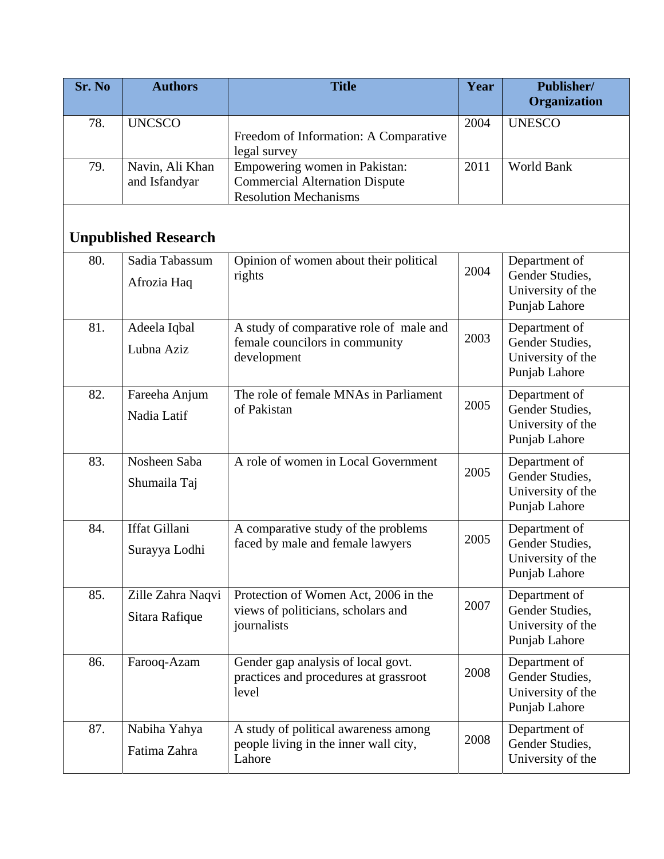| Sr. No | <b>Authors</b>                      | <b>Title</b>                                                                                           | Year | Publisher/<br>Organization                                             |
|--------|-------------------------------------|--------------------------------------------------------------------------------------------------------|------|------------------------------------------------------------------------|
| 78.    | <b>UNCSCO</b>                       | Freedom of Information: A Comparative<br>legal survey                                                  | 2004 | <b>UNESCO</b>                                                          |
| 79.    | Navin, Ali Khan<br>and Isfandyar    | Empowering women in Pakistan:<br><b>Commercial Alternation Dispute</b><br><b>Resolution Mechanisms</b> | 2011 | World Bank                                                             |
|        | <b>Unpublished Research</b>         |                                                                                                        |      |                                                                        |
| 80.    | Sadia Tabassum<br>Afrozia Haq       | Opinion of women about their political<br>rights                                                       | 2004 | Department of<br>Gender Studies,<br>University of the<br>Punjab Lahore |
| 81.    | Adeela Iqbal<br>Lubna Aziz          | A study of comparative role of male and<br>female councilors in community<br>development               | 2003 | Department of<br>Gender Studies,<br>University of the<br>Punjab Lahore |
| 82.    | Fareeha Anjum<br>Nadia Latif        | The role of female MNAs in Parliament<br>of Pakistan                                                   | 2005 | Department of<br>Gender Studies,<br>University of the<br>Punjab Lahore |
| 83.    | Nosheen Saba<br>Shumaila Taj        | A role of women in Local Government                                                                    | 2005 | Department of<br>Gender Studies,<br>University of the<br>Punjab Lahore |
| 84.    | Iffat Gillani<br>Surayya Lodhi      | A comparative study of the problems<br>faced by male and female lawyers                                | 2005 | Department of<br>Gender Studies,<br>University of the<br>Punjab Lahore |
| 85.    | Zille Zahra Naqvi<br>Sitara Rafique | Protection of Women Act, 2006 in the<br>views of politicians, scholars and<br>journalists              | 2007 | Department of<br>Gender Studies,<br>University of the<br>Punjab Lahore |
| 86.    | Farooq-Azam                         | Gender gap analysis of local govt.<br>practices and procedures at grassroot<br>level                   | 2008 | Department of<br>Gender Studies,<br>University of the<br>Punjab Lahore |
| 87.    | Nabiha Yahya<br>Fatima Zahra        | A study of political awareness among<br>people living in the inner wall city,<br>Lahore                | 2008 | Department of<br>Gender Studies,<br>University of the                  |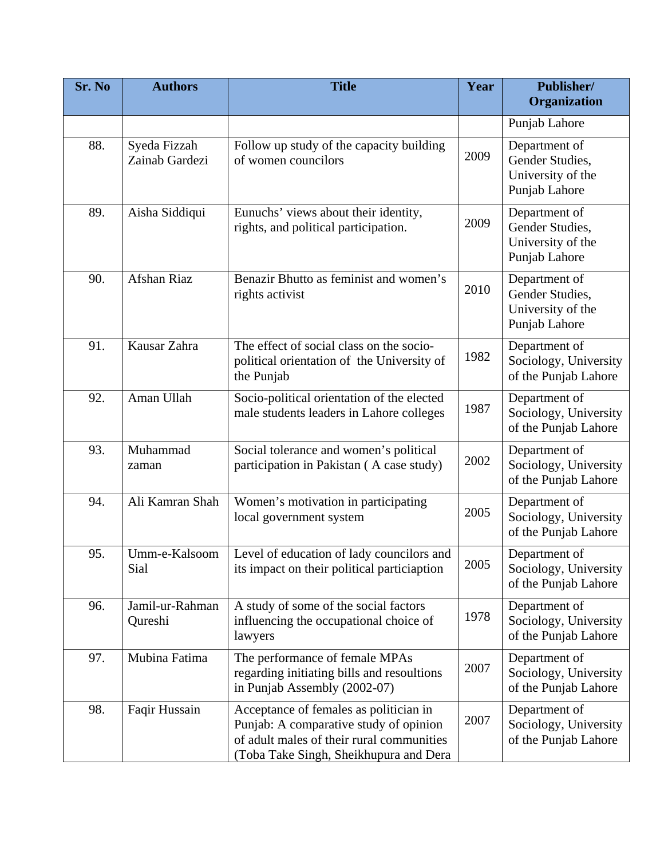| Sr. No | <b>Authors</b>                 | <b>Title</b>                                                                                                                                                            | Year | Publisher/<br>Organization                                             |
|--------|--------------------------------|-------------------------------------------------------------------------------------------------------------------------------------------------------------------------|------|------------------------------------------------------------------------|
|        |                                |                                                                                                                                                                         |      | Punjab Lahore                                                          |
| 88.    | Syeda Fizzah<br>Zainab Gardezi | Follow up study of the capacity building<br>of women councilors                                                                                                         | 2009 | Department of<br>Gender Studies,<br>University of the<br>Punjab Lahore |
| 89.    | Aisha Siddiqui                 | Eunuchs' views about their identity,<br>rights, and political participation.                                                                                            | 2009 | Department of<br>Gender Studies,<br>University of the<br>Punjab Lahore |
| 90.    | Afshan Riaz                    | Benazir Bhutto as feminist and women's<br>rights activist                                                                                                               | 2010 | Department of<br>Gender Studies,<br>University of the<br>Punjab Lahore |
| 91.    | Kausar Zahra                   | The effect of social class on the socio-<br>political orientation of the University of<br>the Punjab                                                                    | 1982 | Department of<br>Sociology, University<br>of the Punjab Lahore         |
| 92.    | Aman Ullah                     | Socio-political orientation of the elected<br>male students leaders in Lahore colleges                                                                                  | 1987 | Department of<br>Sociology, University<br>of the Punjab Lahore         |
| 93.    | Muhammad<br>zaman              | Social tolerance and women's political<br>participation in Pakistan (A case study)                                                                                      | 2002 | Department of<br>Sociology, University<br>of the Punjab Lahore         |
| 94.    | Ali Kamran Shah                | Women's motivation in participating<br>local government system                                                                                                          | 2005 | Department of<br>Sociology, University<br>of the Punjab Lahore         |
| 95.    | Umm-e-Kalsoom<br>Sial          | Level of education of lady councilors and<br>its impact on their political particiaption                                                                                | 2005 | Department of<br>Sociology, University<br>of the Punjab Lahore         |
| 96.    | Jamil-ur-Rahman<br>Qureshi     | A study of some of the social factors<br>influencing the occupational choice of<br>lawyers                                                                              | 1978 | Department of<br>Sociology, University<br>of the Punjab Lahore         |
| 97.    | Mubina Fatima                  | The performance of female MPAs<br>regarding initiating bills and resoultions<br>in Punjab Assembly (2002-07)                                                            | 2007 | Department of<br>Sociology, University<br>of the Punjab Lahore         |
| 98.    | Faqir Hussain                  | Acceptance of females as politician in<br>Punjab: A comparative study of opinion<br>of adult males of their rural communities<br>(Toba Take Singh, Sheikhupura and Dera | 2007 | Department of<br>Sociology, University<br>of the Punjab Lahore         |